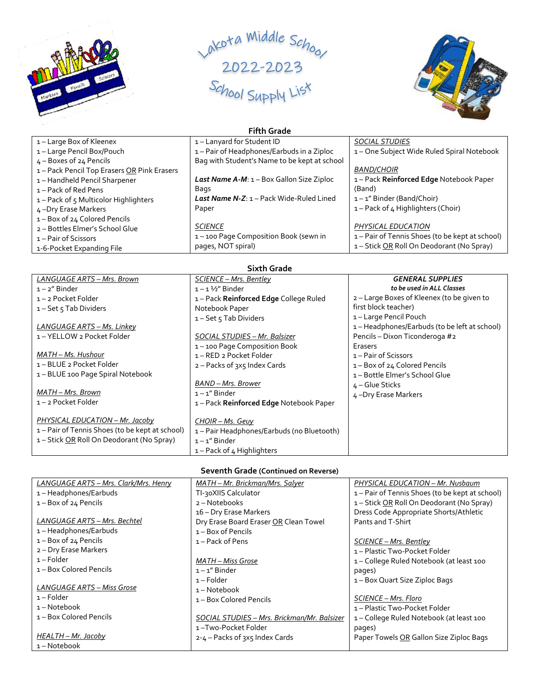





| <b>Fifth Grade</b>                        |                                                              |                                                 |
|-------------------------------------------|--------------------------------------------------------------|-------------------------------------------------|
| 1 – Large Box of Kleenex                  | 1-Lanyard for Student ID                                     | <b>SOCIAL STUDIES</b>                           |
| 1-Large Pencil Box/Pouch                  | 1 – Pair of Headphones/Earbuds in a Ziploc                   | 1-One Subject Wide Ruled Spiral Notebook        |
| $4 -$ Boxes of 24 Pencils                 | Bag with Student's Name to be kept at school                 |                                                 |
| 1-Pack Pencil Top Erasers OR Pink Erasers |                                                              | <b>BAND/CHOIR</b>                               |
| 1-Handheld Pencil Sharpener               | <b>Last Name A-M:</b> $1 - Box$ Gallon Size Ziploc           | 1-Pack Reinforced Edge Notebook Paper           |
| 1 – Pack of Red Pens                      | Bags                                                         | (Band)                                          |
| 1-Pack of 5 Multicolor Highlighters       | <b>Last Name N-Z: <math>1 -</math> Pack Wide-Ruled Lined</b> | $1 - 1$ " Binder (Band/Choir)                   |
| 4-Dry Erase Markers                       | Paper                                                        | 1 – Pack of 4 Highlighters (Choir)              |
| 1-Box of 24 Colored Pencils               |                                                              |                                                 |
| 2 - Bottles Elmer's School Glue           | <b>SCIENCE</b>                                               | PHYSICAL EDUCATION                              |
| 1 – Pair of Scissors                      | 1-100 Page Composition Book (sewn in                         | 1 – Pair of Tennis Shoes (to be kept at school) |
| 1-6-Pocket Expanding File                 | pages, NOT spiral)                                           | 1-Stick OR Roll On Deodorant (No Spray)         |

| <b>Sixth Grade</b>                              |                                          |                                             |  |
|-------------------------------------------------|------------------------------------------|---------------------------------------------|--|
| LANGUAGE ARTS - Mrs. Brown                      | SCIENCE – Mrs. Bentley                   | <b>GENERAL SUPPLIES</b>                     |  |
| $1 - 2''$ Binder                                | $1 - 1\frac{1}{2}$ Binder                | to be used in ALL Classes                   |  |
| 1-2 Pocket Folder                               | 1-Pack Reinforced Edge College Ruled     | 2 – Large Boxes of Kleenex (to be given to  |  |
| $1 - Set 5$ Tab Dividers                        | Notebook Paper                           | first block teacher)                        |  |
|                                                 | $1 - Set 5$ Tab Dividers                 | 1-Large Pencil Pouch                        |  |
| LANGUAGE ARTS – Ms. Linkey                      |                                          | 1-Headphones/Earbuds (to be left at school) |  |
| 1 – YELLOW 2 Pocket Folder                      | SOCIAL STUDIES - Mr. Balsizer            | Pencils - Dixon Ticonderoga #2              |  |
|                                                 | 1-100 Page Composition Book              | Erasers                                     |  |
| MATH – Ms. Hushour                              | 1 - RED 2 Pocket Folder                  | 1 – Pair of Scissors                        |  |
| 1-BLUE 2 Pocket Folder                          | 2 – Packs of 3x5 Index Cards             | 1-Box of 24 Colored Pencils                 |  |
| 1-BLUE 100 Page Spiral Notebook                 |                                          | 1-Bottle Elmer's School Glue                |  |
|                                                 | BAND - Mrs. Brower                       | $4 -$ Glue Sticks                           |  |
| MATH - Mrs. Brown                               | $1 - 1$ " Binder                         | 4-Dry Erase Markers                         |  |
| 1-2 Pocket Folder                               | 1-Pack Reinforced Edge Notebook Paper    |                                             |  |
| PHYSICAL EDUCATION - Mr. Jacoby                 | CHOIR - Ms. Geuy                         |                                             |  |
| 1 – Pair of Tennis Shoes (to be kept at school) | 1-Pair Headphones/Earbuds (no Bluetooth) |                                             |  |
| 1-Stick OR Roll On Deodorant (No Spray)         | $1 - 1$ " Binder                         |                                             |  |
|                                                 | 1 – Pack of 4 Highlighters               |                                             |  |

## **Seventh Grade (Continued on Reverse)**

| LANGUAGE ARTS - Mrs. Clark/Mrs. Henry | MATH - Mr. Brickman/Mrs. Salyer             | PHYSICAL EDUCATION - Mr. Nusbaum                |
|---------------------------------------|---------------------------------------------|-------------------------------------------------|
| 1-Headphones/Earbuds                  | TI-30XIIS Calculator                        | 1 – Pair of Tennis Shoes (to be kept at school) |
| $1 - Box of 24$ Pencils               | 2 – Notebooks                               | 1-Stick OR Roll On Deodorant (No Spray)         |
|                                       | 16 – Dry Erase Markers                      | Dress Code Appropriate Shorts/Athletic          |
| LANGUAGE ARTS - Mrs. Bechtel          | Dry Erase Board Eraser OR Clean Towel       | Pants and T-Shirt                               |
| 1-Headphones/Earbuds                  | $1 - Box$ of Pencils                        |                                                 |
| $1 - Box$ of 24 Pencils               | $1 -$ Pack of Pens                          | <u>SCIENCE – Mrs. Bentley</u>                   |
| 2 - Dry Erase Markers                 |                                             | 1 – Plastic Two-Pocket Folder                   |
| $1 -$ Folder                          | MATH – Miss Grose                           | 1-College Ruled Notebook (at least 100          |
| 1 - Box Colored Pencils               | $1 - 1$ " Binder                            | pages)                                          |
|                                       | $1 -$ Folder                                | 1 – Box Quart Size Ziploc Bags                  |
| LANGUAGE ARTS - Miss Grose            | $1 - Notebook$                              |                                                 |
| $1 -$ Folder                          | 1 – Box Colored Pencils                     | SCIENCE - Mrs. Floro                            |
| 1-Notebook                            |                                             | 1 – Plastic Two-Pocket Folder                   |
| 1 – Box Colored Pencils               | SOCIAL STUDIES - Mrs. Brickman/Mr. Balsizer | 1-College Ruled Notebook (at least 100          |
|                                       | 1-Two-Pocket Folder                         | pages)                                          |
| HEALTH – Mr. Jacoby                   | 2-4 – Packs of 3x5 Index Cards              | Paper Towels OR Gallon Size Ziploc Bags         |
| 1-Notebook                            |                                             |                                                 |